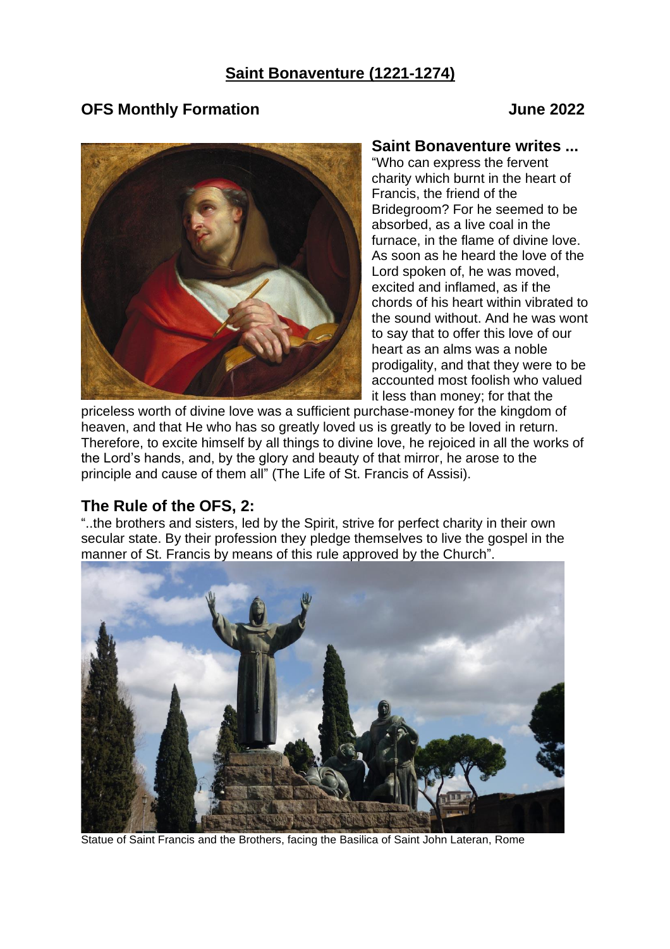# **Saint Bonaventure (1221-1274)**

#### **OFS Monthly Formation June 2022**



#### **Saint Bonaventure writes ...**

"Who can express the fervent charity which burnt in the heart of Francis, the friend of the Bridegroom? For he seemed to be absorbed, as a live coal in the furnace, in the flame of divine love. As soon as he heard the love of the Lord spoken of, he was moved, excited and inflamed, as if the chords of his heart within vibrated to the sound without. And he was wont to say that to offer this love of our heart as an alms was a noble prodigality, and that they were to be accounted most foolish who valued it less than money; for that the

priceless worth of divine love was a sufficient purchase-money for the kingdom of heaven, and that He who has so greatly loved us is greatly to be loved in return. Therefore, to excite himself by all things to divine love, he rejoiced in all the works of the Lord's hands, and, by the glory and beauty of that mirror, he arose to the principle and cause of them all" (The Life of St. Francis of Assisi).

#### **The Rule of the OFS, 2:**

"..the brothers and sisters, led by the Spirit, strive for perfect charity in their own secular state. By their profession they pledge themselves to live the gospel in the manner of St. Francis by means of this rule approved by the Church".



Statue of Saint Francis and the Brothers, facing the Basilica of Saint John Lateran, Rome